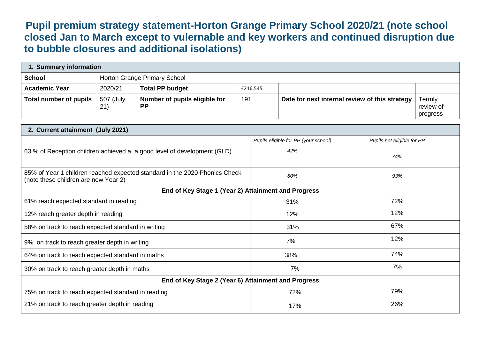**Pupil premium strategy statement-Horton Grange Primary School 2020/21 (note school closed Jan to March except to vulernable and key workers and continued disruption due to bubble closures and additional isolations)**

| 1. Summary information |                              |                                            |          |                                                |                                 |  |  |  |  |
|------------------------|------------------------------|--------------------------------------------|----------|------------------------------------------------|---------------------------------|--|--|--|--|
| <b>School</b>          | Horton Grange Primary School |                                            |          |                                                |                                 |  |  |  |  |
| <b>Academic Year</b>   | 2020/21                      | <b>Total PP budget</b>                     | £216,545 |                                                |                                 |  |  |  |  |
| Total number of pupils | 507 (July<br>(21)            | Number of pupils eligible for<br><b>PP</b> | 191      | Date for next internal review of this strategy | Termly<br>review of<br>progress |  |  |  |  |

| 2. Current attainment (July 2021)                                                                                  |                                      |                            |  |  |  |  |
|--------------------------------------------------------------------------------------------------------------------|--------------------------------------|----------------------------|--|--|--|--|
|                                                                                                                    | Pupils eligible for PP (your school) | Pupils not eligible for PP |  |  |  |  |
| 63 % of Reception children achieved a a good level of development (GLD)                                            | 42%                                  | 74%                        |  |  |  |  |
| 85% of Year 1 children reached expected standard in the 2020 Phonics Check<br>(note these children are now Year 2) | 60%                                  | 93%                        |  |  |  |  |
| End of Key Stage 1 (Year 2) Attainment and Progress                                                                |                                      |                            |  |  |  |  |
| 61% reach expected standard in reading                                                                             | 31%                                  | 72%                        |  |  |  |  |
| 12% reach greater depth in reading                                                                                 | 12%                                  | 12%                        |  |  |  |  |
| 58% on track to reach expected standard in writing                                                                 | 31%                                  | 67%                        |  |  |  |  |
| 9% on track to reach greater depth in writing                                                                      | 7%                                   | 12%                        |  |  |  |  |
| 64% on track to reach expected standard in maths                                                                   | 38%                                  | 74%                        |  |  |  |  |
| 30% on track to reach greater depth in maths                                                                       | 7%                                   | 7%                         |  |  |  |  |
| End of Key Stage 2 (Year 6) Attainment and Progress                                                                |                                      |                            |  |  |  |  |
| 75% on track to reach expected standard in reading                                                                 | 72%                                  | 79%                        |  |  |  |  |
| 21% on track to reach greater depth in reading                                                                     | 17%                                  | 26%                        |  |  |  |  |